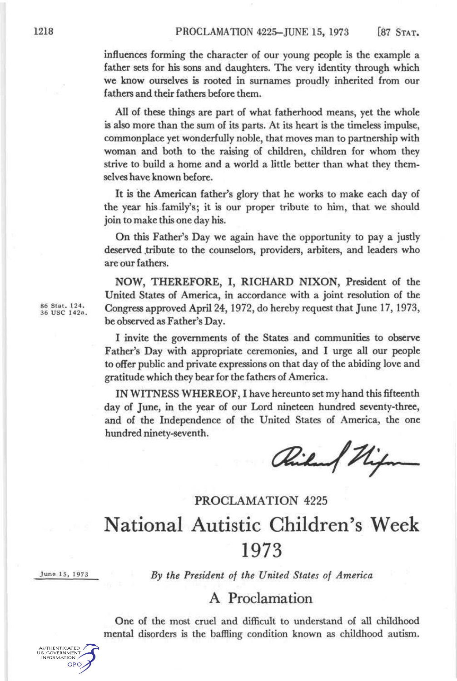influences forming the character of our young people is the example a father sets for his sons and daughters. The very identity through which we know ourselves is rooted in surnames proudly inherited from our fathers and their fathers before them.

All of these things are part of what fatherhood means, yet the whole is also more than the sum of its parts. At its heart is the timeless impulse, commonplace yet wonderfully noble, that moves man to partnership with woman and both to the raising of children, children for whom they strive to build a home and a world a little better than what they themselves have known before.

It is the American father's glory that he works to make each day of the year his family's; it is our proper tribute to him, that we should join to make this one day his.

On this Father's Day we again have the opportunity to pay a justly deserved tribute to the counselors, providers, arbiters, and leaders who are our fathers.

NOW, THEREFORE, I, RICHARD NIXON, President of the United States of America, in accordance with a joint resolution of the Congress approved April 24, 1972, do hereby request that June 17, 1973, be observed as Father's Day.

I invite the governments of the States and communities to observe Father's Day with appropriate ceremonies, and I urge all our people to offer public and private expressions on that day of the abiding love and gratitude which they bear for the fathers of America.

IN WITNESS WHEREOF, I have hereunto set my hand this fifteenth day of June, in the year of our Lord nineteen hundred seventy-three, and of the Independence of the United States of America, the one hundred ninety-seventh.

*K^M^k^mt^^* **^"^M^fc\*\*^^** 

## PROCLAMATION 4225 National Autistic Children's Week 1973

June 15, 1973

AUTHENTICATED **U.S. GOVERNMENT** INFORMATION **GPO**  *By the President of the United States of America* 

## A Proclamation

One of the most cruel and difficult to understand of all childhood mental disorders is the baffling condition known as childhood autism.